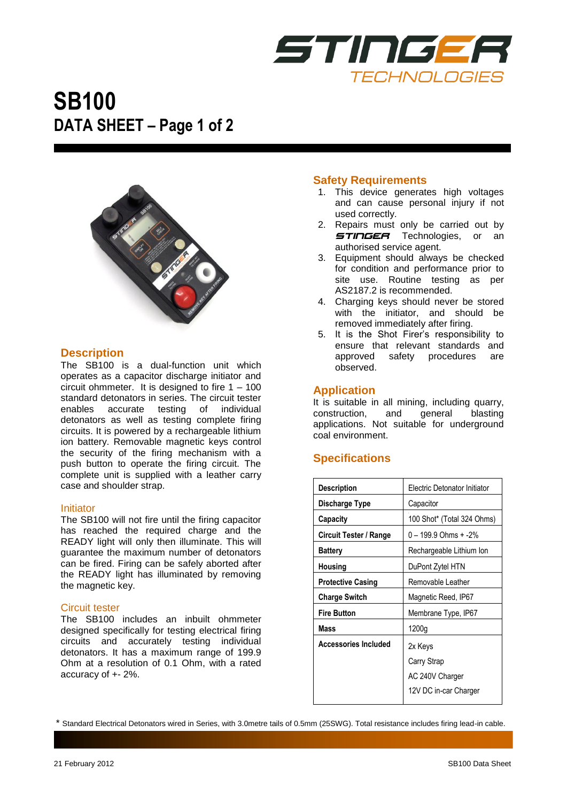

# **SB100 DATA SHEET – Page 1 of 2**



#### **Description**

The SB100 is a dual-function unit which operates as a capacitor discharge initiator and circuit ohmmeter. It is designed to fire 1 – 100 standard detonators in series. The circuit tester enables accurate testing of individual detonators as well as testing complete firing circuits. It is powered by a rechargeable lithium ion battery. Removable magnetic keys control the security of the firing mechanism with a push button to operate the firing circuit. The complete unit is supplied with a leather carry case and shoulder strap.

#### Initiator

The SB100 will not fire until the firing capacitor has reached the required charge and the READY light will only then illuminate. This will guarantee the maximum number of detonators can be fired. Firing can be safely aborted after the READY light has illuminated by removing the magnetic key.

#### Circuit tester

The SB100 includes an inbuilt ohmmeter designed specifically for testing electrical firing circuits and accurately testing individual detonators. It has a maximum range of 199.9 Ohm at a resolution of 0.1 Ohm, with a rated accuracy of +- 2%.

#### **Safety Requirements**

- 1. This device generates high voltages and can cause personal injury if not used correctly.
- 2. Repairs must only be carried out by **STINGER** Technologies, or an authorised service agent.
- 3. Equipment should always be checked for condition and performance prior to site use. Routine testing as per AS2187.2 is recommended.
- 4. Charging keys should never be stored with the initiator, and should be removed immediately after firing.
- 5. It is the Shot Firer's responsibility to ensure that relevant standards and approved safety procedures are observed.

#### **Application**

It is suitable in all mining, including quarry, construction, and general blasting applications. Not suitable for underground coal environment.

## **Specifications**

| <b>Description</b>            | Electric Detonator Initiator |
|-------------------------------|------------------------------|
| Discharge Type                | Capacitor                    |
| Capacity                      | 100 Shot* (Total 324 Ohms)   |
| <b>Circuit Tester / Range</b> | 0 – 199.9 Ohms + -2%         |
| <b>Battery</b>                | Rechargeable Lithium Ion     |
| Housing                       | DuPont Zytel HTN             |
| <b>Protective Casing</b>      | Removable Leather            |
| <b>Charge Switch</b>          | Magnetic Reed, IP67          |
| <b>Fire Button</b>            | Membrane Type, IP67          |
| Mass                          | 1200g                        |
| <b>Accessories Included</b>   | 2x Keys                      |
|                               | Carry Strap                  |
|                               | AC 240V Charger              |
|                               | 12V DC in-car Charger        |

\* Standard Electrical Detonators wired in Series, with 3.0metre tails of 0.5mm (25SWG). Total resistance includes firing lead-in cable.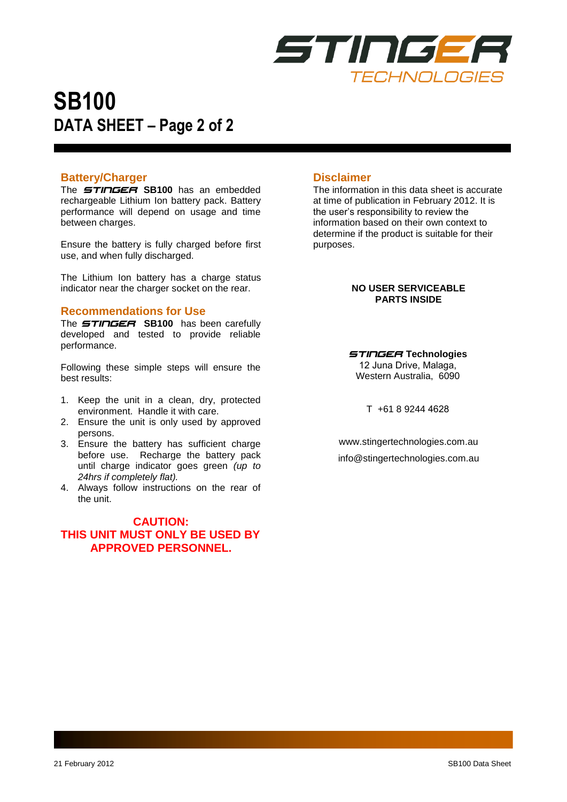

# **SB100 DATA SHEET – Page 2 of 2**

#### **Battery/Charger**

The *STINGER* **SB100** has an embedded rechargeable Lithium Ion battery pack. Battery performance will depend on usage and time between charges.

Ensure the battery is fully charged before first use, and when fully discharged.

The Lithium Ion battery has a charge status indicator near the charger socket on the rear.

#### **Recommendations for Use**

The *STINGER* **SB100** has been carefully developed and tested to provide reliable performance.

Following these simple steps will ensure the best results:

- 1. Keep the unit in a clean, dry, protected environment. Handle it with care.
- 2. Ensure the unit is only used by approved persons.
- 3. Ensure the battery has sufficient charge before use. Recharge the battery pack until charge indicator goes green *(up to 24hrs if completely flat).*
- 4. Always follow instructions on the rear of the unit.

### **CAUTION: THIS UNIT MUST ONLY BE USED BY APPROVED PERSONNEL.**

## **Disclaimer**

The information in this data sheet is accurate at time of publication in February 2012. It is the user's responsibility to review the information based on their own context to determine if the product is suitable for their purposes.

#### **NO USER SERVICEABLE PARTS INSIDE**

*STINGER* **Technologies** 12 Juna Drive, Malaga, Western Australia, 6090

T +61 8 9244 4628

www.stingertechnologies.com.au [info@stingertechnologies.com.au](mailto:info@stingertechnologies.com.au)